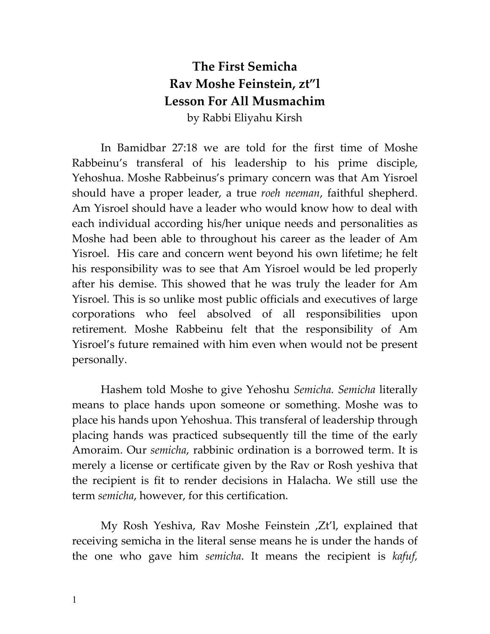## **The First Semicha Rav Moshe Feinstein, zt"l Lesson For All Musmachim**  by Rabbi Eliyahu Kirsh

 In Bamidbar 27:18 we are told for the first time of Moshe Rabbeinu's transferal of his leadership to his prime disciple, Yehoshua. Moshe Rabbeinus's primary concern was that Am Yisroel should have a proper leader, a true *roeh neeman*, faithful shepherd. Am Yisroel should have a leader who would know how to deal with each individual according his/her unique needs and personalities as Moshe had been able to throughout his career as the leader of Am Yisroel. His care and concern went beyond his own lifetime; he felt his responsibility was to see that Am Yisroel would be led properly after his demise. This showed that he was truly the leader for Am Yisroel. This is so unlike most public officials and executives of large corporations who feel absolved of all responsibilities upon retirement. Moshe Rabbeinu felt that the responsibility of Am Yisroel's future remained with him even when would not be present personally.

 Hashem told Moshe to give Yehoshu *Semicha. Semicha* literally means to place hands upon someone or something. Moshe was to place his hands upon Yehoshua. This transferal of leadership through placing hands was practiced subsequently till the time of the early Amoraim. Our *semicha*, rabbinic ordination is a borrowed term. It is merely a license or certificate given by the Rav or Rosh yeshiva that the recipient is fit to render decisions in Halacha. We still use the term *semicha*, however, for this certification.

 My Rosh Yeshiva, Rav Moshe Feinstein ,Zt'l, explained that receiving semicha in the literal sense means he is under the hands of the one who gave him *semicha*. It means the recipient is *kafuf,*